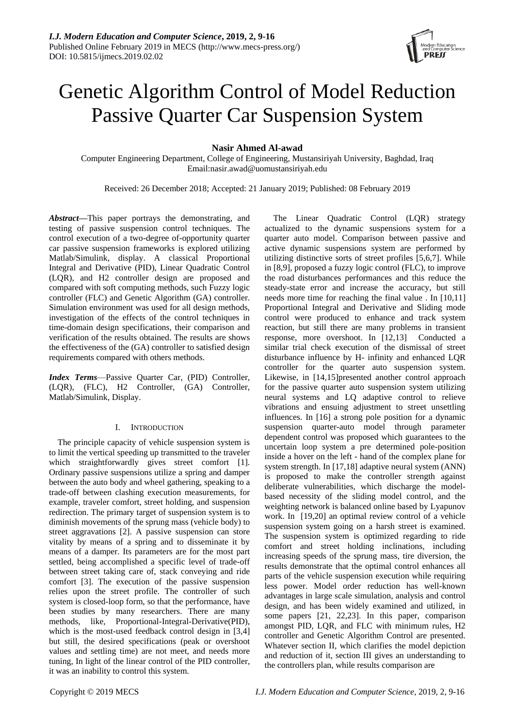

# Genetic Algorithm Control of Model Reduction Passive Quarter Car Suspension System

**Nasir Ahmed Al-awad**

Computer Engineering Department, College of Engineering, Mustansiriyah University, Baghdad, Iraq Email:nasir.awad@uomustansiriyah.edu

Received: 26 December 2018; Accepted: 21 January 2019; Published: 08 February 2019

*Abstract***—**This paper portrays the demonstrating, and testing of passive suspension control techniques. The control execution of a two-degree of-opportunity quarter car passive suspension frameworks is explored utilizing Matlab/Simulink, display. A classical Proportional Integral and Derivative (PID), Linear Quadratic Control (LQR), and H2 controller design are proposed and compared with soft computing methods, such Fuzzy logic controller (FLC) and Genetic Algorithm (GA) controller. Simulation environment was used for all design methods, investigation of the effects of the control techniques in time-domain design specifications, their comparison and verification of the results obtained. The results are shows the effectiveness of the (GA) controller to satisfied design requirements compared with others methods.

*Index Terms*—Passive Quarter Car, (PID) Controller, (LQR), (FLC), H2 Controller, (GA) Controller, Matlab/Simulink, Display.

## I. INTRODUCTION

The principle capacity of vehicle suspension system is to limit the vertical speeding up transmitted to the traveler which straightforwardly gives street comfort [1]. Ordinary passive suspensions utilize a spring and damper between the auto body and wheel gathering, speaking to a trade-off between clashing execution measurements, for example, traveler comfort, street holding, and suspension redirection. The primary target of suspension system is to diminish movements of the sprung mass (vehicle body) to street aggravations [2]. A passive suspension can store vitality by means of a spring and to disseminate it by means of a damper. Its parameters are for the most part settled, being accomplished a specific level of trade-off between street taking care of, stack conveying and ride comfort [3]. The execution of the passive suspension relies upon the street profile. The controller of such system is closed-loop form, so that the performance, have been studies by many researchers. There are many methods, like, Proportional-Integral-Derivative(PID), which is the most-used feedback control design in [3,4] but still, the desired specifications (peak or overshoot values and settling time) are not meet, and needs more tuning, In light of the linear control of the PID controller, it was an inability to control this system.

The Linear Quadratic Control (LQR) strategy actualized to the dynamic suspensions system for a quarter auto model. Comparison between passive and active dynamic suspensions system are performed by utilizing distinctive sorts of street profiles [5,6,7]. While in [8,9], proposed a fuzzy logic control (FLC), to improve the road disturbances performances and this reduce the steady-state error and increase the accuracy, but still needs more time for reaching the final value . In [10,11] Proportional Integral and Derivative and Sliding mode control were produced to enhance and track system reaction, but still there are many problems in transient response, more overshoot. In [12,13] Conducted a similar trial check execution of the dismissal of street disturbance influence by H- infinity and enhanced LQR controller for the quarter auto suspension system. Likewise, in [14,15]presented another control approach for the passive quarter auto suspension system utilizing neural systems and LQ adaptive control to relieve vibrations and ensuing adjustment to street unsettling influences. In [16] a strong pole position for a dynamic suspension quarter-auto model through parameter dependent control was proposed which guarantees to the uncertain loop system a pre determined pole-position inside a hover on the left - hand of the complex plane for system strength. In [17,18] adaptive neural system (ANN) is proposed to make the controller strength against deliberate vulnerabilities, which discharge the modelbased necessity of the sliding model control, and the weighting network is balanced online based by Lyapunov work. In [19,20] an optimal review control of a vehicle suspension system going on a harsh street is examined. The suspension system is optimized regarding to ride comfort and street holding inclinations, including increasing speeds of the sprung mass, tire diversion, the results demonstrate that the optimal control enhances all parts of the vehicle suspension execution while requiring less power. Model order reduction has well-known advantages in large scale simulation, analysis and control design, and has been widely examined and utilized, in some papers [21, 22,23]. In this paper, comparison amongst PID, LQR, and FLC with minimum rules, H2 controller and Genetic Algorithm Control are presented. Whatever section II, which clarifies the model depiction and reduction of it, section III gives an understanding to the controllers plan, while results comparison are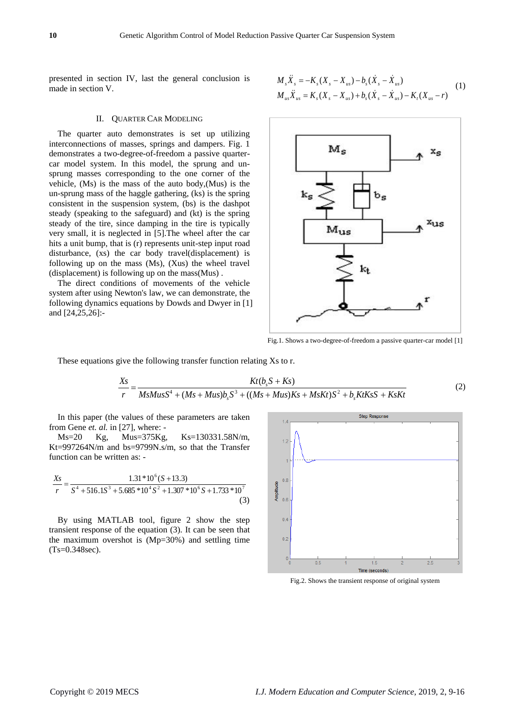presented in section IV, last the general conclusion is made in section V.

## II. QUARTER CAR MODELING

The quarter auto demonstrates is set up utilizing interconnections of masses, springs and dampers. Fig. 1 demonstrates a two-degree-of-freedom a passive quartercar model system. In this model, the sprung and unsprung masses corresponding to the one corner of the vehicle, (Ms) is the mass of the auto body,(Mus) is the un-sprung mass of the haggle gathering, (ks) is the spring consistent in the suspension system, (bs) is the dashpot steady (speaking to the safeguard) and (kt) is the spring steady of the tire, since damping in the tire is typically very small, it is neglected in [5].The wheel after the car hits a unit bump, that is (r) represents unit-step input road disturbance, (xs) the car body travel(displacement) is following up on the mass (Ms), (Xus) the wheel travel (displacement) is following up on the mass(Mus) .

The direct conditions of movements of the vehicle system after using Newton's law, we can demonstrate, the following dynamics equations by Dowds and Dwyer in [1] and [24,25,26]:-

$$
M_{s}\ddot{X}_{s} = -K_{s}(X_{s} - X_{us}) - b_{s}(\dot{X}_{s} - \dot{X}_{us})
$$
  
\n
$$
M_{us}\ddot{X}_{us} = K_{s}(X_{s} - X_{us}) + b_{s}(\dot{X}_{s} - \dot{X}_{us}) - K_{t}(X_{us} - r)
$$
\n(1)



Fig.1. Shows a two-degree-of-freedom a passive quarter-car model [1]

These equations give the following transfer function relating Xs to r.

$$
\frac{Xs}{r} = \frac{Kt(b_sS + Ks)}{MsMusS^4 + (Ms + Mus)b_sS^3 + ((Ms + Mus)Ks + MsKt)S^2 + b_sKtKsS + KsKt}
$$
(2)

In this paper (the values of these parameters are taken from Gene *et. al.* in [27], where: -

Ms=20 Kg, Mus=375Kg, Ks=130331.58N/m, Kt=997264N/m and bs=9799N.s/m, so that the Transfer function can be written as: -

$$
\frac{X_s}{r} = \frac{1.31 * 10^6 (S + 13.3)}{S^4 + 516.1S^3 + 5.685 * 10^4 S^2 + 1.307 * 10^6 S + 1.733 * 10^7}
$$
\n(3)

By using MATLAB tool, figure 2 show the step transient response of the equation (3). It can be seen that the maximum overshot is (Mp=30%) and settling time (Ts=0.348sec).



Fig.2. Shows the transient response of original system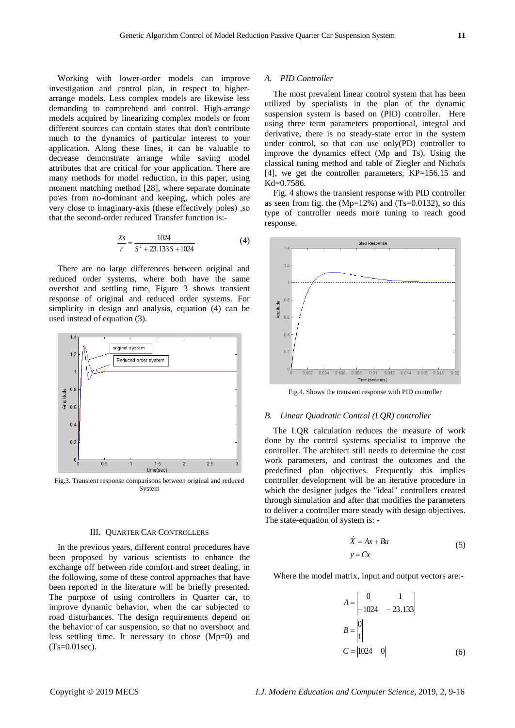Working with lower-order models can improve investigation and control plan, in respect to higherarrange models. Less complex models are likewise less demanding to comprehend and control. High-arrange models acquired by linearizing complex models or from different sources can contain states that don't contribute much to the dynamics of particular interest to your application. Along these lines, it can be valuable to decrease demonstrate arrange while saving model attributes that are critical for your application. There are many methods for model reduction, in this paper, using moment matching method [28], where separate dominate po\es from no-dominant and keeping, which poles are very close to imaginary-axis (these effectively poles) ,so that the second-order reduced Transfer function is:-

$$
\frac{Xs}{r} = \frac{1024}{S^2 + 23.133S + 1024}
$$
 (4)

There are no large differences between original and reduced order systems, where both have the same overshot and settling time, Figure 3 shows transient response of original and reduced order systems. For simplicity in design and analysis, equation (4) can be used instead of equation (3).



Fig.3. Transient response comparisons between original and reduced System

## III. QUARTER CAR CONTROLLERS

In the previous years, different control procedures have been proposed by various scientists to enhance the exchange off between ride comfort and street dealing, in the following, some of these control approaches that have been reported in the literature will be briefly presented. The purpose of using controllers in Quarter car, to improve dynamic behavior, when the car subjected to road disturbances. The design requirements depend on the behavior of car suspension, so that no overshoot and less settling time. It necessary to chose (Mp=0) and (Ts=0.01sec).

## *A. PID Controller*

The most prevalent linear control system that has been utilized by specialists in the plan of the dynamic suspension system is based on (PID) controller. Here using three term parameters proportional, integral and derivative, there is no steady-state error in the system under control, so that can use only(PD) controller to improve the dynamics effect (Mp and Ts). Using the classical tuning method and table of Ziegler and Nichols [4], we get the controller parameters, KP=156.15 and Kd=0.7586.

Fig. 4 shows the transient response with PID controller as seen from fig. the (Mp=12%) and (Ts=0.0132), so this type of controller needs more tuning to reach good response.



Fig.4. Shows the transient response with PID controller

## *B. Linear Quadratic Control (LQR) controller*

The LQR calculation reduces the measure of work done by the control systems specialist to improve the controller. The architect still needs to determine the cost work parameters, and contrast the outcomes and the predefined plan objectives. Frequently this implies controller development will be an iterative procedure in which the designer judges the "ideal" controllers created through simulation and after that modifies the parameters to deliver a controller more steady with design objectives. The state-equation of system is: -

$$
\dot{X} = Ax + Bu
$$
\n
$$
y = Cx
$$
\n(5)

Where the model matrix, input and output vectors are:-

$$
A = \begin{vmatrix} 0 & 1 \\ -1024 & -23.133 \end{vmatrix}
$$
  

$$
B = \begin{vmatrix} 0 \\ 1 \end{vmatrix}
$$
  

$$
C = \begin{vmatrix} 1024 & 0 \end{vmatrix}
$$
 (6)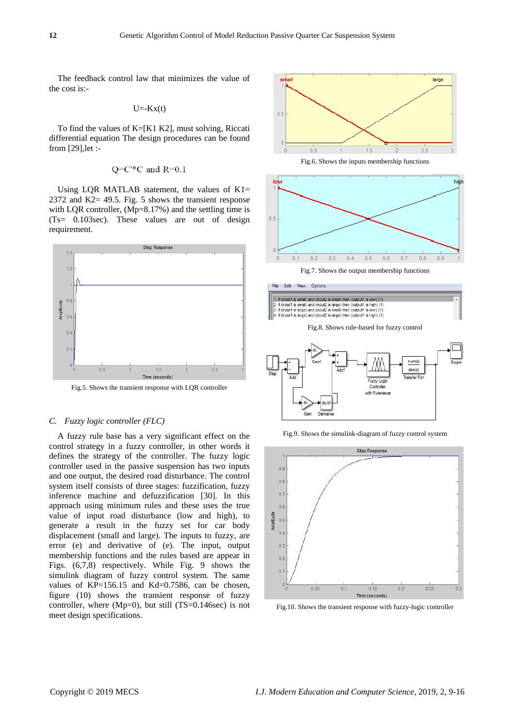The feedback control law that minimizes the value of the cost is:-

$$
U = -Kx(t)
$$

To find the values of K=[K1 K2], must solving, Riccati differential equation The design procedures can be found from [29],let :-

$$
Q=C^*C
$$
 and  $R=0.1$ 

Using LQR MATLAB statement, the values of  $K1=$ 2372 and K2= 49.5. Fig. 5 shows the transient response with LQR controller, (Mp=8.17%) and the settling time is (Ts= 0.103sec). These values are out of design requirement.



Fig.5. Shows the transient response with LQR controller

## *C. Fuzzy logic controller (FLC)*

A fuzzy rule base has a very significant effect on the control strategy in a fuzzy controller, in other words it defines the strategy of the controller. The fuzzy logic controller used in the passive suspension has two inputs and one output, the desired road disturbance. The control system itself consists of three stages: fuzzification, fuzzy inference machine and defuzzification [30]. In this approach using minimum rules and these uses the true value of input road disturbance (low and high), to generate a result in the fuzzy set for car body displacement (small and large). The inputs to fuzzy, are error (e) and derivative of (e). The input, output membership functions and the rules based are appear in Figs. (6,7,8) respectively. While Fig. 9 shows the simulink diagram of fuzzy control system. The same values of KP=156.15 and Kd=0.7586, can be chosen, figure (10) shows the transient response of fuzzy controller, where (Mp=0), but still (TS=0.146sec) is not meet design specifications.



Fig.6. Shows the inputs membership functions











Controlle with Ruleview





Fig.10. Shows the transient response with fuzzy-logic controller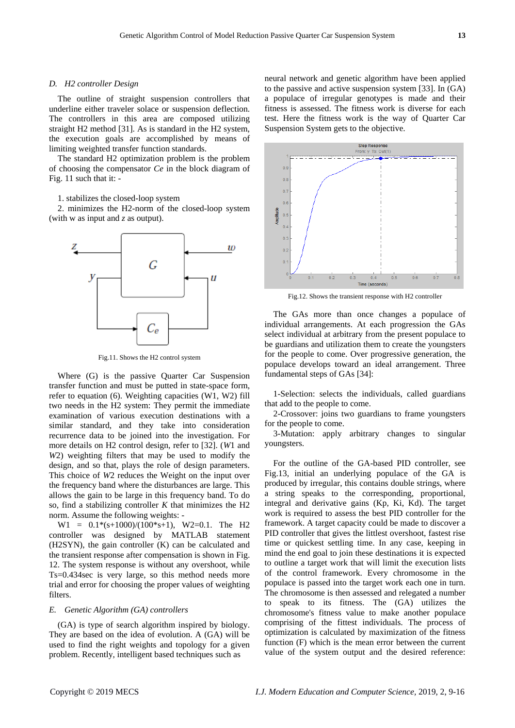## *D. H2 controller Design*

The outline of straight suspension controllers that underline either traveler solace or suspension deflection. The controllers in this area are composed utilizing straight H2 method [31]. As is standard in the H2 system, the execution goals are accomplished by means of limiting weighted transfer function standards.

The standard H2 optimization problem is the problem of choosing the compensator *Ce* in the block diagram of Fig. 11 such that it: -

#### 1. stabilizes the closed-loop system

2. minimizes the H2-norm of the closed-loop system (with w as input and *z* as output).



Fig.11. Shows the H2 control system

Where (G) is the passive Quarter Car Suspension transfer function and must be putted in state-space form, refer to equation (6). Weighting capacities (W1, W2) fill two needs in the H2 system: They permit the immediate examination of various execution destinations with a similar standard, and they take into consideration recurrence data to be joined into the investigation. For more details on H2 control design, refer to [32]. (*W*1 and *W*2) weighting filters that may be used to modify the design, and so that, plays the role of design parameters. This choice of *W*2 reduces the Weight on the input over the frequency band where the disturbances are large. This allows the gain to be large in this frequency band. To do so, find a stabilizing controller *K* that minimizes the H2 norm. Assume the following weights: -

 $W1 = 0.1*(s+1000)/(100*s+1)$ , W2=0.1. The H2 controller was designed by MATLAB statement (H2SYN), the gain controller (K) can be calculated and the transient response after compensation is shown in Fig. 12. The system response is without any overshoot, while Ts=0.434sec is very large, so this method needs more trial and error for choosing the proper values of weighting filters.

## *E. Genetic Algorithm (GA) controllers*

(GA) is type of search algorithm inspired by biology. They are based on the idea of evolution. A (GA) will be used to find the right weights and topology for a given problem. Recently, intelligent based techniques such as

neural network and genetic algorithm have been applied to the passive and active suspension system [33]. In (GA) a populace of irregular genotypes is made and their fitness is assessed. The fitness work is diverse for each test. Here the fitness work is the way of Quarter Car Suspension System gets to the objective.



Fig.12. Shows the transient response with H2 controller

The GAs more than once changes a populace of individual arrangements. At each progression the GAs select individual at arbitrary from the present populace to be guardians and utilization them to create the youngsters for the people to come. Over progressive generation, the populace develops toward an ideal arrangement. Three fundamental steps of GAs [34]:

1-Selection: selects the individuals, called guardians that add to the people to come.

2-Crossover: joins two guardians to frame youngsters for the people to come.

3-Mutation: apply arbitrary changes to singular youngsters.

For the outline of the GA-based PID controller, see Fig.13, initial an underlying populace of the GA is produced by irregular, this contains double strings, where a string speaks to the corresponding, proportional, integral and derivative gains (Kp, Ki, Kd). The target work is required to assess the best PID controller for the framework. A target capacity could be made to discover a PID controller that gives the littlest overshoot, fastest rise time or quickest settling time. In any case, keeping in mind the end goal to join these destinations it is expected to outline a target work that will limit the execution lists of the control framework. Every chromosome in the populace is passed into the target work each one in turn. The chromosome is then assessed and relegated a number to speak to its fitness. The (GA) utilizes the chromosome's fitness value to make another populace comprising of the fittest individuals. The process of optimization is calculated by maximization of the fitness function (F) which is the mean error between the current value of the system output and the desired reference: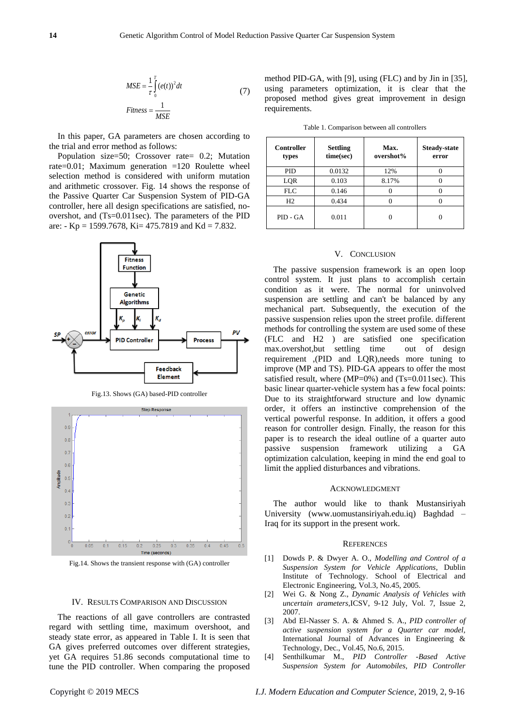$$
MSE = \frac{1}{\tau} \int_{0}^{T} (e(t))^{2} dt
$$
\n
$$
Fitness = \frac{1}{MSE}
$$
\n(7)

In this paper, GA parameters are chosen according to the trial and error method as follows:

Population size=50; Crossover rate= 0.2; Mutation rate=0.01; Maximum generation =120 Roulette wheel selection method is considered with uniform mutation and arithmetic crossover. Fig. 14 shows the response of the Passive Quarter Car Suspension System of PID-GA controller, here all design specifications are satisfied, noovershot, and (Ts=0.011sec). The parameters of the PID are: - Kp = 1599.7678, Ki = 475.7819 and Kd = 7.832.



Fig.13. Shows (GA) based-PID controller



Fig.14. Shows the transient response with (GA) controller

#### IV. RESULTS COMPARISON AND DISCUSSION

The reactions of all gave controllers are contrasted regard with settling time, maximum overshoot, and steady state error, as appeared in Table I. It is seen that GA gives preferred outcomes over different strategies, yet GA requires 51.86 seconds computational time to tune the PID controller. When comparing the proposed method PID-GA, with [9], using (FLC) and by Jin in [35], using parameters optimization, it is clear that the proposed method gives great improvement in design requirements.

Table 1. Comparison between all controllers

| <b>Controller</b><br>types | <b>Settling</b><br>time(sec) | Max.<br>overshot% | <b>Steady-state</b><br>error |
|----------------------------|------------------------------|-------------------|------------------------------|
| <b>PID</b>                 | 0.0132                       | 12%               |                              |
| LQR                        | 0.103                        | 8.17%             |                              |
| <b>FLC</b>                 | 0.146                        |                   |                              |
| H2                         | 0.434                        |                   |                              |
| PID - GA                   | 0.011                        |                   |                              |

#### V. CONCLUSION

The passive suspension framework is an open loop control system. It just plans to accomplish certain condition as it were. The normal for uninvolved suspension are settling and can't be balanced by any mechanical part. Subsequently, the execution of the passive suspension relies upon the street profile. different methods for controlling the system are used some of these (FLC and H2 ) are satisfied one specification max.overshot,but settling time out of design requirement ,(PID and LQR),needs more tuning to improve (MP and TS). PID-GA appears to offer the most satisfied result, where (MP=0%) and (Ts=0.011sec). This basic linear quarter-vehicle system has a few focal points: Due to its straightforward structure and low dynamic order, it offers an instinctive comprehension of the vertical powerful response. In addition, it offers a good reason for controller design. Finally, the reason for this paper is to research the ideal outline of a quarter auto passive suspension framework utilizing a GA optimization calculation, keeping in mind the end goal to limit the applied disturbances and vibrations.

#### ACKNOWLEDGMENT

The author would like to thank Mustansiriyah University (www.uomustansiriyah.edu.iq) Baghdad – Iraq for its support in the present work.

#### **REFERENCES**

- [1] Dowds P. & Dwyer A. O., *Modelling and Control of a Suspension System for Vehicle Applications*, Dublin Institute of Technology. School of Electrical and Electronic Engineering, Vol.3, No.45, 2005.
- [2] Wei G. & Nong Z., *Dynamic Analysis of Vehicles with uncertain arameters*,ICSV, 9-12 July, Vol. 7, Issue 2, 2007.
- [3] Abd El-Nasser S. A. & Ahmed S. A., *PID controller of active suspension system for a Quarter car model,*  International Journal of Advances in Engineering & Technology, Dec., Vol.45, No.6, 2015.
- [4] Senthilkumar M., *PID Controller -Based Active Suspension System for Automobiles, PID Controller*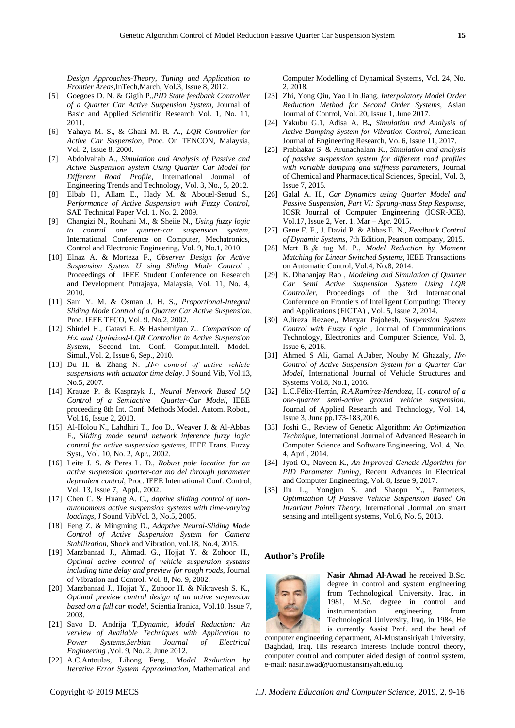*Design Approaches-Theory, Tuning and Application to Frontier Areas*,InTech,March, Vol.3, Issue 8, 2012.

- [5] Goegoes D. N. & Gigih P.,*PID State feedback Controller of a Quarter Car Active Suspension System,* Journal of Basic and Applied Scientific Research Vol. 1, No. 11, 2011.
- [6] Yahaya M. S., & Ghani M. R. A., *LQR Controller for Active Car Suspension*, Proc. On TENCON, Malaysia, Vol. 2, Issue 8, 2000.
- [7] Abdolvahab A., *Simulation and Analysis of Passive and Active Suspension System Using Quarter Car Model for Different Road Profile*, International Journal of Engineering Trends and Technology, Vol. 3, No., 5, 2012.
- [8] Elbab H., Allam E., Hady M. & Abouel-Seoud S., *Performance of Active Suspension with Fuzzy Control*, SAE Technical Paper Vol. 1, No. 2, 2009.
- [9] Changizi N., Rouhani M., & Sheiie N., *Using fuzzy logic to control one quarter-car suspension system*, International Conference on Computer, Mechatronics, Control and Electronic Engineering, Vol. 9, No.1, 2010.
- [10] Elnaz A. & Morteza F., *Observer Design for Active Suspension System U sing Sliding Mode Control* , Proceedings of IEEE Student Conference on Research and Development Putrajaya, Malaysia, Vol. 11, No. 4, 2010.
- [11] Sam Y. M. & Osman J. H. S., *Proportional-Integral Sliding Mode Control of a Quarter Car Active Suspension*, Proc. IEEE TECO, Vol. 9. No.2, 2002.
- [12] Shirdel H., Gatavi E. & Hashemiyan Z.. *Comparison of H∞ and Optimized-LQR Controller in Active Suspension System*, Second Int. Conf. Comput.Intell. Model. Simul.,Vol. 2, Issue 6, Sep., 2010.
- [13] Du H. & Zhang N. ,*H∞ control of active vehicle suspensions with actuator time delay*. J Sound Vib, Vol.13, No.5, 2007.
- [14] Krauze P. & Kasprzyk J., *Neural Network Based LQ Control of a Semiactive Quarter-Car Model*, IEEE proceeding 8th Int. Conf. Methods Model. Autom. Robot., Vol.16, Issue 2, 2013.
- [15] Al-Holou N., Lahdhiri T., Joo D., Weaver J. & Al-Abbas F., *Sliding mode neural network inference fuzzy logic control for active suspension systems*, IEEE Trans. Fuzzy Syst., Vol. 10, No. 2, Apr., 2002.
- [16] Leite J. S. & Peres L. D., *Robust pole location for an active suspension quarter-car mo del through parameter dependent control*, Proc. IEEE lntemational Conf. Control, Vol. 13, Issue 7, Appl., 2002.
- [17] Chen C. & Huang A. C., *daptive sliding control of nonautonomous active suspension systems with time-varying loadings*, J Sound VibVol. 3, No.5, 2005.
- [18] Feng Z. & Mingming D., *Adaptive Neural-Sliding Mode Control of Active Suspension System for Camera Stabilization*, Shock and Vibration, vol.18, No.4, 2015.
- [19] Marzbanrad J., Ahmadi G., Hojjat Y. & Zohoor H., *Optimal active control of vehicle suspension systems including time delay and preview for rough roads*, Journal of Vibration and Control, Vol. 8, No. 9, 2002.
- [20] Marzbanrad J., Hojjat Y., Zohoor H. & Nikravesh S. K., *Optimal preview control design of an active suspension based on a full car model*, Scientia Iranica, Vol.10, Issue 7, 2003.
- [21] Savo D. Andrija T*,Dynamic, Model Reduction: An verview of Available Techniques with Application to Power Systems,Serbian Journal of Electrical Engineering* ,Vol. 9, No. 2, June 2012.
- [22] A.C.Antoulas, Lihong Feng., *Model Reduction by Iterative Error System Approximation*, Mathematical and

Computer Modelling of Dynamical Systems, Vol. 24, No. 2, 2018.

- [23] Zhi, Yong Qiu, Yao Lin Jiang, *Interpolatory Model Order Reduction Method for Second Order Systems*, Asian Journal of Control, Vol. 20, Issue 1, June 2017.
- [24] Yakubu G.1, Adisa A. B**.,** *Simulation and Analysis of Active Damping System for Vibration Control,* American Journal of Engineering Research, Vo. 6, Issue 11, 2017.
- [25] Prabhakar S. & Arunachalam K., *Simulation and analysis of passive suspension system for different road profiles with variable damping and stiffness parameters*, Journal of Chemical and Pharmaceutical Sciences, Special, Vol. 3, Issue 7, 2015.
- [26] Galal A. H., *Car Dynamics using Quarter Model and Passive Suspension, Part VI: Sprung-mass Step Response*, IOSR Journal of Computer Engineering (IOSR-JCE), Vol.17, Issue 2, Ver. 1, Mar – Apr. 2015.
- [27] [Gene F. F.,](https://www.amazon.com/Gene-F.-Franklin/e/B001I9RX98/ref=dp_byline_cont_book_1) [J. David P.](https://www.amazon.com/s/ref=dp_byline_sr_book_2?ie=UTF8&text=J.+David+Powell&search-alias=books&field-author=J.+David+Powell&sort=relevancerank) & [Abbas E. N.,](https://www.amazon.com/s/ref=dp_byline_sr_book_3?ie=UTF8&text=Abbas+Emami-Naeini&search-alias=books&field-author=Abbas+Emami-Naeini&sort=relevancerank) *Feedback Control of Dynamic Systems*, 7th Edition, Pearson company, 2015.
- [28] Mert B. ̧& tug M. P., *Model Reduction by Moment Matching for Linear Switched Systems*, IEEE Transactions on Automatic Control, Vol.4, No.8, 2014.
- [29] K. Dhananjay Rao , *Modeling and Simulation of Quarter Car Semi Active Suspension System Using LQR Controller,* [Proceedings of the 3rd International](https://link.springer.com/book/10.1007/978-3-319-11933-5)  [Conference on Frontiers of Intelligent Computing: Theory](https://link.springer.com/book/10.1007/978-3-319-11933-5)  [and Applications \(FICTA\) ,](https://link.springer.com/book/10.1007/978-3-319-11933-5) Vol. 5, Issue 2, 2014.
- [30] A.lireza Rezaee,, Mazyar Pajohesh*, Suspension System Control with Fuzzy Logic ,* Journal of Communications Technology, Electronics and Computer Science, Vol. 3, Issue 6, 2016.
- [31] [Ahmed S Ali,](https://www.researchgate.net/profile/Ahmed_Ali425?_sg=XxPJauZmhWJY7uEy6H_Cq5X7c-KqBc1wy1hJjoEoTsBTxWrU_sg9K1aJXkTCc4-WGN3b2Qk.4IOIQKJ237jbD5tZri1TBGffax8NboUaQsjeosTbHp571NARkgpzBLjaXBokASffL25sows5Ir9urDOm59ytyA) [Gamal A.Jaber,](https://www.researchgate.net/profile/Gamal_Abdel-Jaber?_sg=XxPJauZmhWJY7uEy6H_Cq5X7c-KqBc1wy1hJjoEoTsBTxWrU_sg9K1aJXkTCc4-WGN3b2Qk.4IOIQKJ237jbD5tZri1TBGffax8NboUaQsjeosTbHp571NARkgpzBLjaXBokASffL25sows5Ir9urDOm59ytyA) [Nouby M Ghazaly,](https://www.researchgate.net/profile/Nouby_Ghazaly?_sg=XxPJauZmhWJY7uEy6H_Cq5X7c-KqBc1wy1hJjoEoTsBTxWrU_sg9K1aJXkTCc4-WGN3b2Qk.4IOIQKJ237jbD5tZri1TBGffax8NboUaQsjeosTbHp571NARkgpzBLjaXBokASffL25sows5Ir9urDOm59ytyA) *H∞ Control of Active Suspension System for a Quarter Car Model,* International Journal of Vehicle Structures and Systems Vol.8, No.1, 2016.
- [32] [L.C.Félix-Herrán,](https://www.sciencedirect.com/science/article/pii/S1665642316300463#!) *[R.A.Ramírez-Mendoza,](https://www.sciencedirect.com/science/article/pii/S1665642316300463#!)* H*<sup>2</sup> control of a one-quarter semi-active ground vehicle suspension*, [Journal of Applied Research and Technology,](https://www.sciencedirect.com/science/journal/16656423) [Vol.](https://www.sciencedirect.com/science/journal/16656423/14/3) 14, [Issue 3,](https://www.sciencedirect.com/science/journal/16656423/14/3) June pp.173-183,2016.
- [33] Joshi G., Review of Genetic Algorithm: *An Optimization Technique*, International Journal of Advanced Research in Computer Science and Software Engineering, Vol. 4, No. 4, April, 2014.
- [34] Jyoti O., Naveen K., *An Improved Genetic Algorithm for PID Parameter Tuning*, Recent Advances in Electrical and Computer Engineering, Vol. 8, Issue 9, 2017.
- [35] Jin L., Yongjun S. and Shaopu Y., Parmeters, *Optimization Of Passive Vehicle Suspension Based On Invariant Points Theory*, International .Journal .on smart sensing and intelligent systems, Vol.6, No. 5, 2013.

#### **Author's Profile**



**Nasir Ahmad Al-Awad** he received B.Sc. degree in control and system engineering from Technological University, Iraq, in 1981, M.Sc. degree in control and instrumentation engineering from Technological University, Iraq, in 1984, He is currently Assist Prof. and the head of

computer engineering department, Al-Mustansiriyah University, Baghdad, Iraq. His research interests include control theory, computer control and computer aided design of control system, e-mail: nasir.awad@uomustansiriyah.edu.iq.